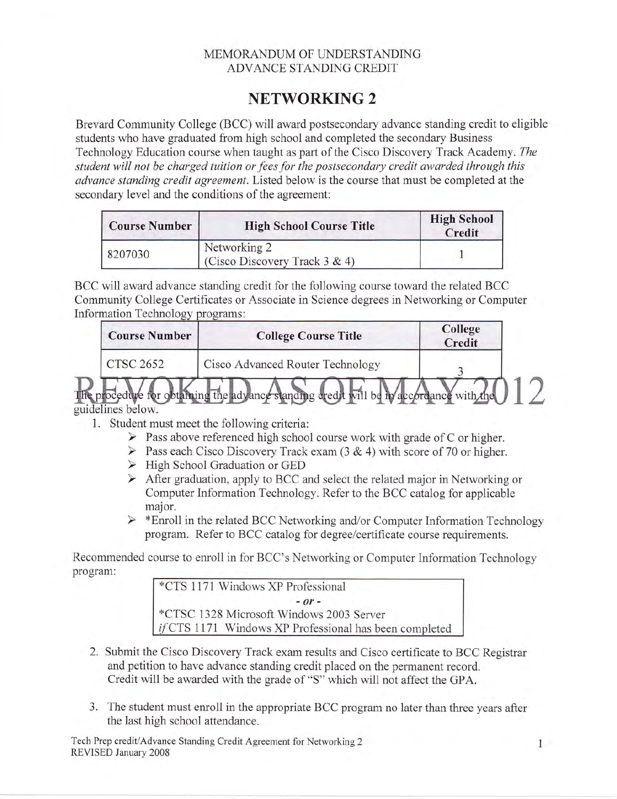## MEMORANDUM OF UNDERSTANDING ADVANCE STANDING CREDIT

## NETWORKING 2

Brevard Community College (BCC) will award postsecondary advance standing credit to eligible students who have graduated from high school and completed the secondary Business Technology Education course when taught as part of the Cisco Discovery Track Academy. The student will not be charged tuition or fees for the postsecondary credit awarded through this advance standing credit agreement. Listed below is the course that must be completed at the secondary level and the conditions of the agreement:

| <b>Course Number</b> | <b>High School Course Title</b>                   | <b>High School</b><br>Credit |  |
|----------------------|---------------------------------------------------|------------------------------|--|
| 8207030              | Networking 2<br>(Cisco Discovery Track $3 \& 4$ ) |                              |  |

BCC will award advance standing credit for the following course toward the related BCC Community College Certificates or Associate in Science degrees in Networking or Computer Information Technology programs:

| <b>Course Number</b>       | <b>College Course Title</b>                                          | College<br>Credit |  |
|----------------------------|----------------------------------------------------------------------|-------------------|--|
| CTSC 2652                  | Cisco Advanced Router Technology                                     |                   |  |
| ocedure<br>idelines below. | obtaining the advance standing credit will be in accordance with the |                   |  |

- 1. Student must meet the following criteria:<br>
> Pass above referenced high school course work with grade of C or higher.
	- $\triangleright$  Pass each Cisco Discovery Track exam (3 & 4) with score of 70 or higher.
	- > High School Graduation or GED
	- $\triangleright$  After graduation, apply to BCC and select the related major in Networking or Computer Information Technology. Refer to the BCC catalog for applicable major.
	- $\triangleright$  \*Enroll in the related BCC Networking and/or Computer Information Technology program. Refer to BCC catalog for degree/certihcate course requirements.

Recommended course to enroll in for BCC's Networking or Computer Information Technology program:

\*CTS 1171 Windows XP Professional  $-$  or  $-$ \*CTSC 1328 Microsoft Windows 2003 Server if CTS 1171 Windows XP Professional has been completed

- 2. Submit the Cisco Discovery Track exam results and Cisco certificate to BCC Registrar and petition to have advance standing credit placed on the permanent record. Credit will be awarded with the grade of "S" which will not affect the GPA.
- 3. The student must enroll in the appropriate BCC program no later than three years after the last high school attendance.

Tech Prep credit/Advance Standing Credit Agreement for Networking 2 law and 1 law REVISED January 2008